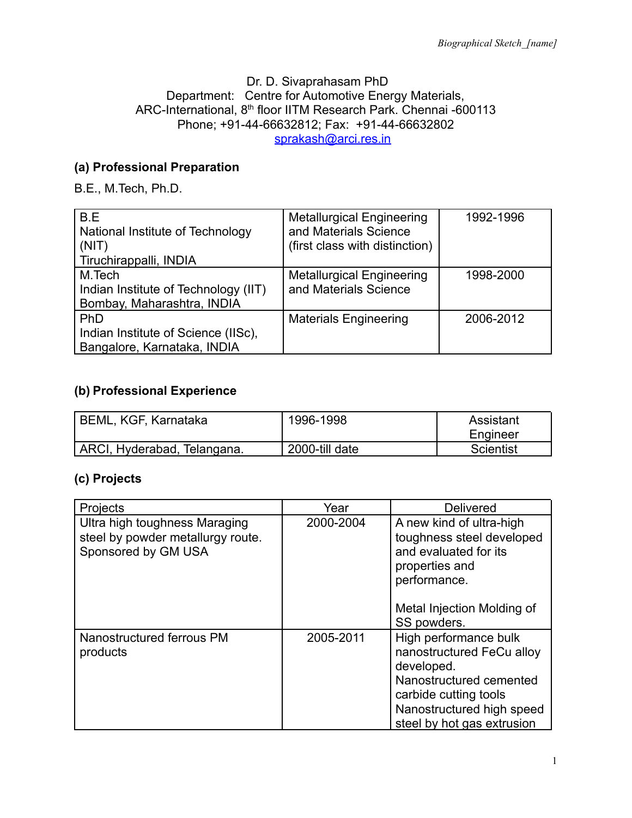#### Dr. D. Sivaprahasam PhD Department: Centre for Automotive Energy Materials, ARC-International, 8<sup>th</sup> floor IITM Research Park. Chennai -600113 Phone; +91-44-66632812; Fax: +91-44-66632802 [sprakash@arci.res.in](mailto:sprakash@arci.res.in)

## **(a) Professional Preparation**

B.E., M.Tech, Ph.D.

| B.E<br>National Institute of Technology<br>(NIT)<br>Tiruchirappalli, INDIA   | <b>Metallurgical Engineering</b><br>and Materials Science<br>(first class with distinction) | 1992-1996 |
|------------------------------------------------------------------------------|---------------------------------------------------------------------------------------------|-----------|
| M.Tech<br>Indian Institute of Technology (IIT)<br>Bombay, Maharashtra, INDIA | <b>Metallurgical Engineering</b><br>and Materials Science                                   | 1998-2000 |
| PhD<br>Indian Institute of Science (IISc),<br>Bangalore, Karnataka, INDIA    | <b>Materials Engineering</b>                                                                | 2006-2012 |

### **(b) Professional Experience**

| BEML, KGF, Karnataka        | 1996-1998      | Assistant |
|-----------------------------|----------------|-----------|
|                             |                | Engineer  |
| ARCI, Hyderabad, Telangana. | 2000-till date | Scientist |

#### **(c) Projects**

| Projects                                                                                  | Year      | <b>Delivered</b>                                                                                                                                                                |
|-------------------------------------------------------------------------------------------|-----------|---------------------------------------------------------------------------------------------------------------------------------------------------------------------------------|
| Ultra high toughness Maraging<br>steel by powder metallurgy route.<br>Sponsored by GM USA | 2000-2004 | A new kind of ultra-high<br>toughness steel developed<br>and evaluated for its<br>properties and<br>performance.<br>Metal Injection Molding of<br>SS powders.                   |
| Nanostructured ferrous PM<br>products                                                     | 2005-2011 | High performance bulk<br>nanostructured FeCu alloy<br>developed.<br>Nanostructured cemented<br>carbide cutting tools<br>Nanostructured high speed<br>steel by hot gas extrusion |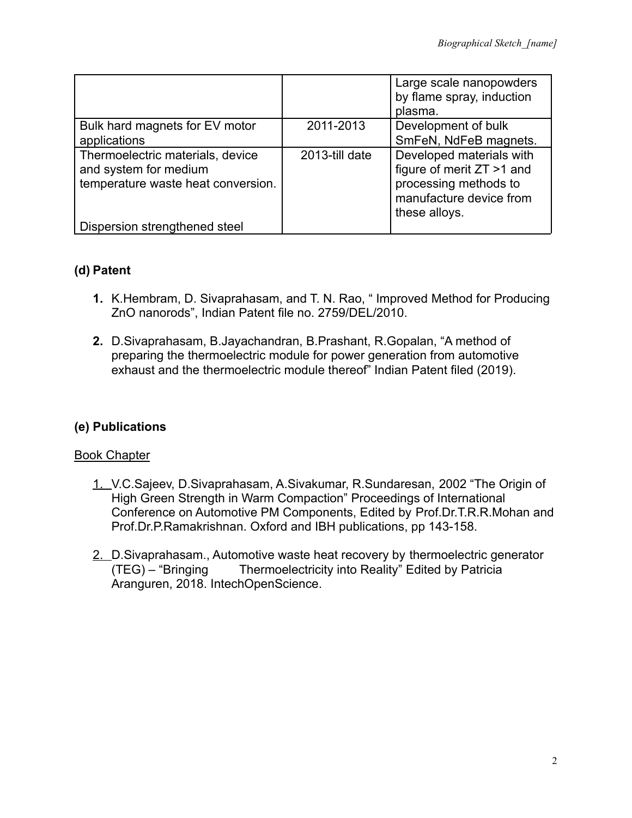|                                                                                                 |                | Large scale nanopowders<br>by flame spray, induction<br>plasma.                                                            |
|-------------------------------------------------------------------------------------------------|----------------|----------------------------------------------------------------------------------------------------------------------------|
| Bulk hard magnets for EV motor                                                                  | 2011-2013      | Development of bulk                                                                                                        |
| applications                                                                                    |                | SmFeN, NdFeB magnets.                                                                                                      |
| Thermoelectric materials, device<br>and system for medium<br>temperature waste heat conversion. | 2013-till date | Developed materials with<br>figure of merit ZT >1 and<br>processing methods to<br>manufacture device from<br>these alloys. |
| Dispersion strengthened steel                                                                   |                |                                                                                                                            |

### **(d) Patent**

- **1.** K.Hembram, D. Sivaprahasam, and T. N. Rao, " Improved Method for Producing ZnO nanorods", Indian Patent file no. 2759/DEL/2010.
- **2.** D.Sivaprahasam, B.Jayachandran, B.Prashant, R.Gopalan, "A method of preparing the thermoelectric module for power generation from automotive exhaust and the thermoelectric module thereof" Indian Patent filed (2019).

## **(e) Publications**

#### Book Chapter

- 1. V.C.Sajeev, D.Sivaprahasam, A.Sivakumar, R.Sundaresan, 2002 "The Origin of High Green Strength in Warm Compaction" Proceedings of International Conference on Automotive PM Components, Edited by Prof.Dr.T.R.R.Mohan and Prof.Dr.P.Ramakrishnan. Oxford and IBH publications, pp 143-158.
- 2. D. Sivaprahasam., Automotive waste heat recovery by thermoelectric generator (TEG) – "Bringing Thermoelectricity into Reality" Edited by Patricia Aranguren, 2018. IntechOpenScience.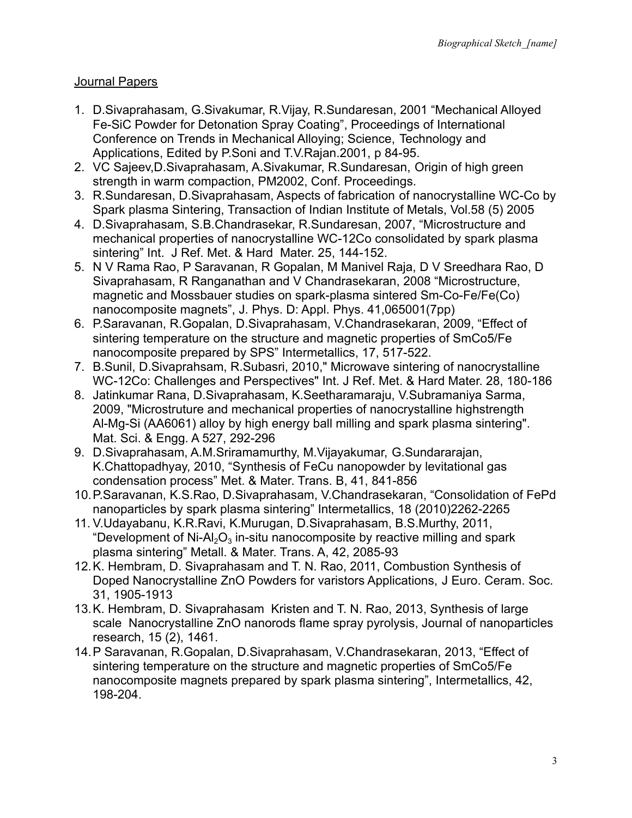### Journal Papers

- 1. D.Sivaprahasam, G.Sivakumar, R.Vijay, R.Sundaresan, 2001 "Mechanical Alloyed Fe-SiC Powder for Detonation Spray Coating", Proceedings of International Conference on Trends in Mechanical Alloying; Science, Technology and Applications, Edited by P.Soni and T.V.Rajan.2001, p 84-95.
- 2. VC Sajeev,D.Sivaprahasam, A.Sivakumar, R.Sundaresan, Origin of high green strength in warm compaction, PM2002, Conf. Proceedings.
- 3. R.Sundaresan, D.Sivaprahasam, Aspects of fabrication of nanocrystalline WC-Co by Spark plasma Sintering, Transaction of Indian Institute of Metals, Vol.58 (5) 2005
- 4. D.Sivaprahasam, S.B.Chandrasekar, R.Sundaresan, 2007, "Microstructure and mechanical properties of nanocrystalline WC-12Co consolidated by spark plasma sintering" Int. J Ref. Met. & Hard Mater. 25, 144-152.
- 5. N V Rama Rao, P Saravanan, R Gopalan, M Manivel Raja, D V Sreedhara Rao, D Sivaprahasam, R Ranganathan and V Chandrasekaran, 2008 "Microstructure, magnetic and Mossbauer studies on spark-plasma sintered Sm-Co-Fe/Fe(Co) nanocomposite magnets", J. Phys. D: Appl. Phys. 41,065001(7pp)
- 6. P.Saravanan, R.Gopalan, D.Sivaprahasam, V.Chandrasekaran, 2009, "Effect of sintering temperature on the structure and magnetic properties of SmCo5/Fe nanocomposite prepared by SPS" Intermetallics, 17, 517-522.
- 7. B.Sunil, D.Sivaprahsam, R.Subasri, 2010," Microwave sintering of nanocrystalline WC-12Co: Challenges and Perspectives" Int. J Ref. Met. & Hard Mater. 28, 180-186
- 8. Jatinkumar Rana, D.Sivaprahasam, K.Seetharamaraju, V.Subramaniya Sarma, 2009, "Microstruture and mechanical properties of nanocrystalline highstrength Al-Mg-Si (AA6061) alloy by high energy ball milling and spark plasma sintering". Mat. Sci. & Engg. A 527, 292-296
- 9. D.Sivaprahasam, A.M.Sriramamurthy, M.Vijayakumar, G.Sundararajan, K.Chattopadhyay, 2010, "Synthesis of FeCu nanopowder by levitational gas condensation process" Met. & Mater. Trans. B, 41, 841-856
- 10.P.Saravanan, K.S.Rao, D.Sivaprahasam, V.Chandrasekaran, "Consolidation of FePd nanoparticles by spark plasma sintering" Intermetallics, 18 (2010)2262-2265
- 11. V.Udayabanu, K.R.Ravi, K.Murugan, D.Sivaprahasam, B.S.Murthy, 2011, "Development of Ni-Al<sub>2</sub>O<sub>3</sub> in-situ nanocomposite by reactive milling and spark plasma sintering" Metall. & Mater. Trans. A, 42, 2085-93
- 12.K. Hembram, D. Sivaprahasam and T. N. Rao, 2011, Combustion Synthesis of Doped Nanocrystalline ZnO Powders for varistors Applications, J Euro. Ceram. Soc. 31, 1905-1913
- 13.K. Hembram, D. Sivaprahasam Kristen and T. N. Rao, 2013, Synthesis of large scale Nanocrystalline ZnO nanorods flame spray pyrolysis, Journal of nanoparticles research, 15 (2), 1461.
- 14.P Saravanan, R.Gopalan, D.Sivaprahasam, V.Chandrasekaran, 2013, "Effect of sintering temperature on the structure and magnetic properties of SmCo5/Fe nanocomposite magnets prepared by spark plasma sintering", Intermetallics, 42, 198-204.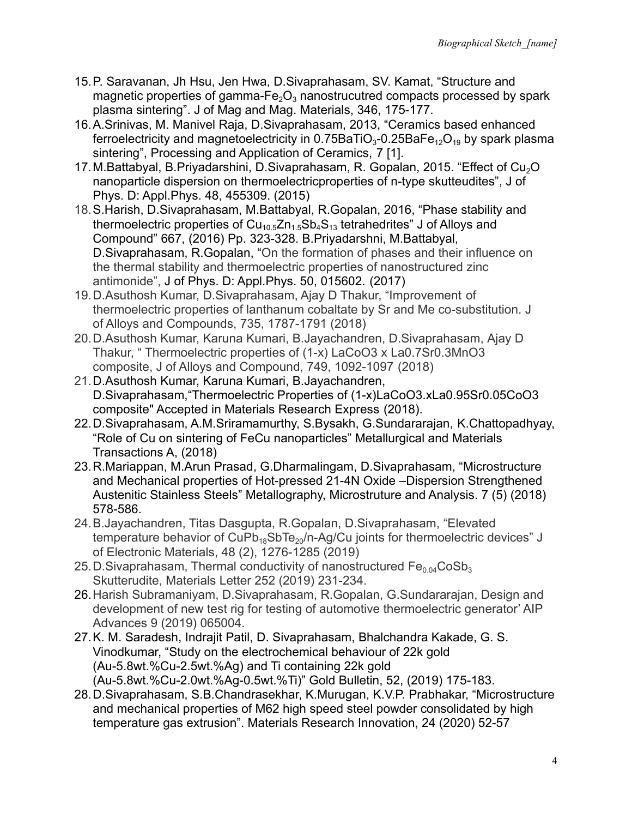- 15.P. Saravanan, Jh Hsu, Jen Hwa, D.Sivaprahasam, SV. Kamat, "Structure and magnetic properties of gamma- $Fe<sub>2</sub>O<sub>3</sub>$  nanostrucutred compacts processed by spark plasma sintering". J of Mag and Mag. Materials, 346, 175-177.
- 16.A.Srinivas, M. Manivel Raja, D.Sivaprahasam, 2013, "Ceramics based enhanced ferroelectricity and magnetoelectricity in 0.75BaTiO $_3$ -0.25BaFe $_{\rm 12}$ O $_{\rm 19}$  by spark plasma sintering", Processing and Application of Ceramics, 7 [1].
- 17. M.Battabyal, B.Priyadarshini, D.Sivaprahasam, R. Gopalan, 2015. "Effect of Cu<sub>2</sub>O nanoparticle dispersion on thermoelectricproperties of n-type skutteudites", J of Phys. D: Appl.Phys. 48, 455309. (2015)
- 18.S.Harish, D.Sivaprahasam, M.Battabyal, R.Gopalan, 2016, "Phase stability and thermoelectric properties of  $\textsf{Cu}_{\text{10.5}}\textsf{Zn}_{\text{1.5}}\textsf{Sb}_4\textsf{S}_{\text{13}}$  tetrahedrites" J of Alloys and Compound" 667, (2016) Pp. 323-328. B.Priyadarshni, M.Battabyal, D.Sivaprahasam, R.Gopalan, "On the formation of phases and their influence on the thermal stability and thermoelectric properties of nanostructured zinc antimonide", J of Phys. D: Appl.Phys. 50, 015602. (2017)
- 19.D.Asuthosh Kumar, D.Sivaprahasam, Ajay D Thakur, "Improvement of thermoelectric properties of lanthanum cobaltate by Sr and Me co-substitution. J of Alloys and Compounds, 735, 1787-1791 (2018)
- 20.D.Asuthosh Kumar, Karuna Kumari, B.Jayachandren, D.Sivaprahasam, Ajay D Thakur, " Thermoelectric properties of (1-x) LaCoO3 x La0.7Sr0.3MnO3 composite, J of Alloys and Compound, 749, 1092-1097 (2018)
- 21.D.Asuthosh Kumar, Karuna Kumari, B.Jayachandren, D.Sivaprahasam,"Thermoelectric Properties of (1-x)LaCoO3.xLa0.95Sr0.05CoO3 composite" Accepted in Materials Research Express (2018).
- 22.D.Sivaprahasam, A.M.Sriramamurthy, S.Bysakh, G.Sundararajan, K.Chattopadhyay, "Role of Cu on sintering of FeCu nanoparticles" Metallurgical and Materials Transactions A, (2018)
- 23.R.Mariappan, M.Arun Prasad, G.Dharmalingam, D.Sivaprahasam, "Microstructure and Mechanical properties of Hot-pressed 21-4N Oxide –Dispersion Strengthened Austenitic Stainless Steels" Metallography, Microstruture and Analysis. 7 (5) (2018) 578-586.
- 24.B.Jayachandren, Titas Dasgupta, R.Gopalan, D.Sivaprahasam, "Elevated temperature behavior of CuPb<sub>18</sub>SbTe<sub>20</sub>/n-Ag/Cu joints for thermoelectric devices" J of Electronic Materials, 48 (2), 1276-1285 (2019)
- 25. D. Sivaprahasam, Thermal conductivity of nanostructured  $Fe<sub>0.04</sub>CoSb<sub>3</sub>$ Skutterudite, Materials Letter 252 (2019) 231-234.
- 26.Harish Subramaniyam, D.Sivaprahasam, R.Gopalan, G.Sundararajan, Design and development of new test rig for testing of automotive thermoelectric generator' AIP Advances 9 (2019) 065004.
- 27.K. M. Saradesh, Indrajit Patil, D. Sivaprahasam, Bhalchandra Kakade, G. S. Vinodkumar, "Study on the electrochemical behaviour of 22k gold (Au-5.8wt.%Cu-2.5wt.%Ag) and Ti containing 22k gold (Au-5.8wt.%Cu-2.0wt.%Ag-0.5wt.%Ti)" Gold Bulletin, 52, (2019) 175-183.
- 28.D.Sivaprahasam, S.B.Chandrasekhar, K.Murugan, K.V.P. Prabhakar, "Microstructure and mechanical properties of M62 high speed steel powder consolidated by high temperature gas extrusion". Materials Research Innovation, 24 (2020) 52-57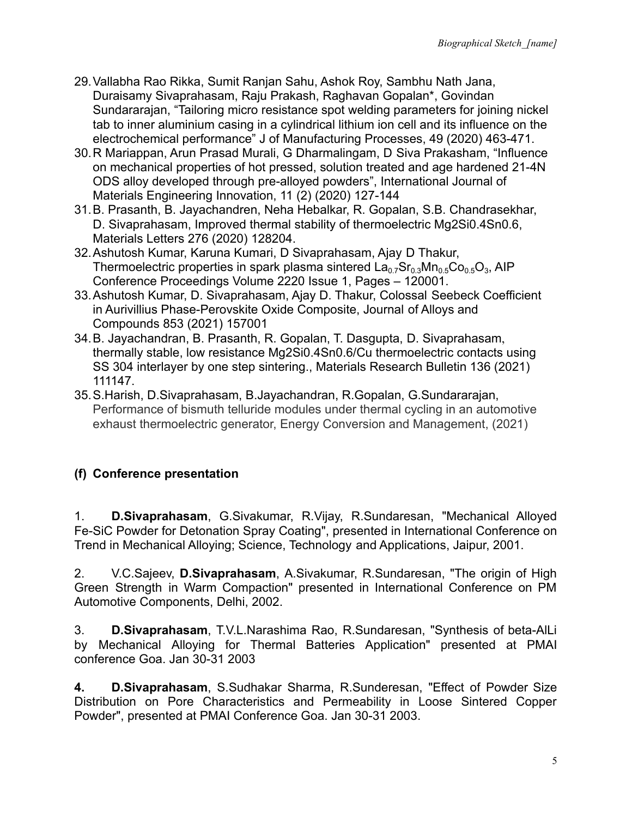- 29.Vallabha Rao Rikka, Sumit Ranjan Sahu, Ashok Roy, Sambhu Nath Jana, Duraisamy Sivaprahasam, Raju Prakash, Raghavan Gopalan\*, Govindan Sundararajan, "Tailoring micro resistance spot welding parameters for joining nickel tab to inner aluminium casing in a cylindrical lithium ion cell and its influence on the electrochemical performance" J of Manufacturing Processes, 49 (2020) 463-471.
- 30.R Mariappan, Arun Prasad Murali, G Dharmalingam, D Siva Prakasham, ["Influence](https://www.inderscienceonline.com/doi/abs/10.1504/IJMATEI.2020.106661) [on mechanical properties of hot pressed, solution](https://www.inderscienceonline.com/doi/abs/10.1504/IJMATEI.2020.106661) treated and age hardened 21-4N [ODS alloy developed through pre-alloyed powders](https://www.inderscienceonline.com/doi/abs/10.1504/IJMATEI.2020.106661)", International Journal of Materials Engineering Innovation, 11 (2) (2020) 127-144
- 31.B. Prasanth, B. Jayachandren, Neha Hebalkar, R. Gopalan, S.B. Chandrasekhar, D. Sivaprahasam, Improved thermal stability of thermoelectric Mg2Si0.4Sn0.6, Materials Letters 276 (2020) 128204.
- 32.Ashutosh Kumar, Karuna Kumari, D Sivaprahasam, Ajay D Thakur, [Thermoelectric properties in spark plasma sintered](https://aip.scitation.org/doi/abs/10.1063/5.0001334)  $\mathsf{La_{0.7}Sr_{0.3}Mn_{0.5}Co_{0.5}O_3}$ , AIP Conference Proceedings Volume 2220 Issue 1, Pages – 120001.
- 33.Ashutosh Kumar, D. Sivaprahasam, Ajay D. Thakur, Colossal Seebeck Coefficient in Aurivillius Phase-Perovskite Oxide Composite, Journal of Alloys and Compounds 853 (2021) 157001
- 34.B. Jayachandran, B. Prasanth, R. Gopalan, T. Dasgupta, D. Sivaprahasam, thermally stable, low resistance Mg2Si0.4Sn0.6/Cu thermoelectric contacts using SS 304 interlayer by one step sintering., Materials Research Bulletin 136 (2021) 111147.
- 35.S.Harish, D.Sivaprahasam, B.Jayachandran, R.Gopalan, G.Sundararajan, Performance of bismuth telluride modules under thermal cycling in an automotive exhaust thermoelectric generator, Energy Conversion and Management, (2021)

# **(f) Conference presentation**

1. **D.Sivaprahasam**, G.Sivakumar, R.Vijay, R.Sundaresan, "Mechanical Alloyed Fe-SiC Powder for Detonation Spray Coating", presented in International Conference on Trend in Mechanical Alloying; Science, Technology and Applications, Jaipur, 2001.

2. V.C.Sajeev, **D.Sivaprahasam**, A.Sivakumar, R.Sundaresan, "The origin of High Green Strength in Warm Compaction" presented in International Conference on PM Automotive Components, Delhi, 2002.

3. **D.Sivaprahasam**, T.V.L.Narashima Rao, R.Sundaresan, "Synthesis of beta-AlLi by Mechanical Alloying for Thermal Batteries Application" presented at PMAI conference Goa. Jan 30-31 2003

**4. D.Sivaprahasam**, S.Sudhakar Sharma, R.Sunderesan, "Effect of Powder Size Distribution on Pore Characteristics and Permeability in Loose Sintered Copper Powder", presented at PMAI Conference Goa. Jan 30-31 2003.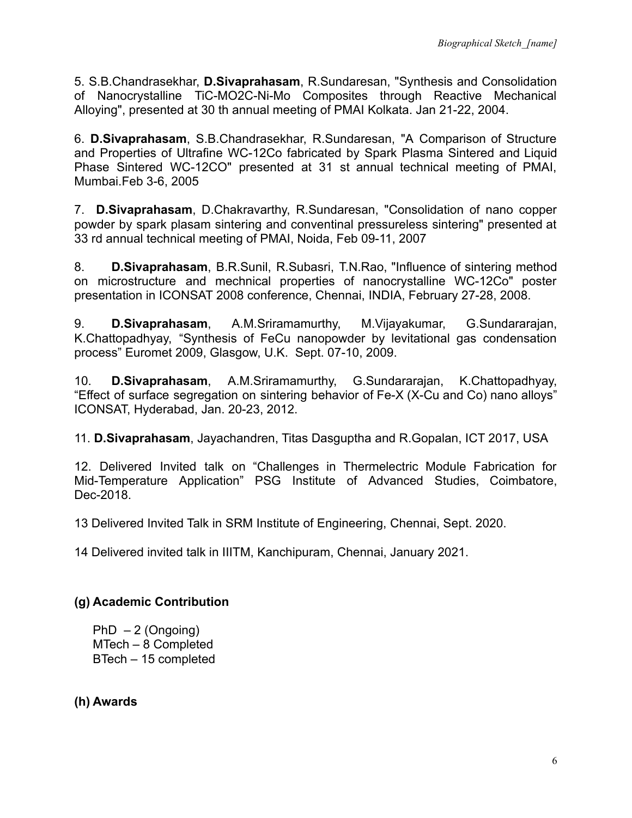5. S.B.Chandrasekhar, **D.Sivaprahasam**, R.Sundaresan, "Synthesis and Consolidation of Nanocrystalline TiC-MO2C-Ni-Mo Composites through Reactive Mechanical Alloying", presented at 30 th annual meeting of PMAI Kolkata. Jan 21-22, 2004.

6. **D.Sivaprahasam**, S.B.Chandrasekhar, R.Sundaresan, "A Comparison of Structure and Properties of Ultrafine WC-12Co fabricated by Spark Plasma Sintered and Liquid Phase Sintered WC-12CO" presented at 31 st annual technical meeting of PMAI, Mumbai.Feb 3-6, 2005

7. **D.Sivaprahasam**, D.Chakravarthy, R.Sundaresan, "Consolidation of nano copper powder by spark plasam sintering and conventinal pressureless sintering" presented at 33 rd annual technical meeting of PMAI, Noida, Feb 09-11, 2007

8. **D.Sivaprahasam**, B.R.Sunil, R.Subasri, T.N.Rao, "Influence of sintering method on microstructure and mechnical properties of nanocrystalline WC-12Co" poster presentation in ICONSAT 2008 conference, Chennai, INDIA, February 27-28, 2008.

9. **D.Sivaprahasam**, A.M.Sriramamurthy, M.Vijayakumar, G.Sundararajan, K.Chattopadhyay, "Synthesis of FeCu nanopowder by levitational gas condensation process" Euromet 2009, Glasgow, U.K. Sept. 07-10, 2009.

10. **D.Sivaprahasam**, A.M.Sriramamurthy, G.Sundararajan, K.Chattopadhyay, "Effect of surface segregation on sintering behavior of Fe-X (X-Cu and Co) nano alloys" ICONSAT, Hyderabad, Jan. 20-23, 2012.

11. **D.Sivaprahasam**, Jayachandren, Titas Dasguptha and R.Gopalan, ICT 2017, USA

12. Delivered Invited talk on "Challenges in Thermelectric Module Fabrication for Mid-Temperature Application" PSG Institute of Advanced Studies, Coimbatore, Dec-2018.

13 Delivered Invited Talk in SRM Institute of Engineering, Chennai, Sept. 2020.

14 Delivered invited talk in IIITM, Kanchipuram, Chennai, January 2021.

# **(g) Academic Contribution**

 $PhD - 2$  (Ongoing) MTech – 8 Completed BTech – 15 completed

**(h) Awards**